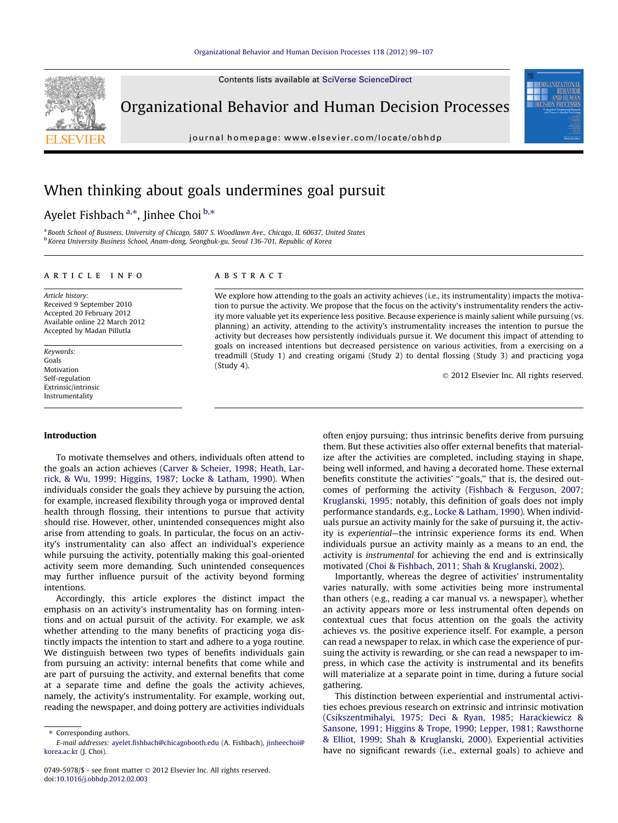Contents lists available at [SciVerse ScienceDirect](http://www.sciencedirect.com/science/journal/07495978)



Organizational Behavior and Human Decision Processes

journal homepage: [www.elsevier.com/locate/obhdp](http://www.elsevier.com/locate/obhdp)

# When thinking about goals undermines goal pursuit

## Ayelet Fishbach ª,\*, Jinhee Choi <sup>b,</sup>\*

<sup>a</sup> Booth School of Business, University of Chicago, 5807 S. Woodlawn Ave., Chicago, IL 60637, United States <sup>b</sup> Korea University Business School, Anam-dong, Seongbuk-gu, Seoul 136-701, Republic of Korea

#### article info

Article history: Received 9 September 2010 Accepted 20 February 2012 Available online 22 March 2012 Accepted by Madan Pillutla

Keywords: Goals Motivation Self-regulation Extrinsic/intrinsic Instrumentality

#### Introduction

To motivate themselves and others, individuals often attend to the goals an action achieves [\(Carver & Scheier, 1998; Heath, Lar](#page-8-0)[rick, & Wu, 1999; Higgins, 1987; Locke & Latham, 1990](#page-8-0)). When individuals consider the goals they achieve by pursuing the action, for example, increased flexibility through yoga or improved dental health through flossing, their intentions to pursue that activity should rise. However, other, unintended consequences might also arise from attending to goals. In particular, the focus on an activity's instrumentality can also affect an individual's experience while pursuing the activity, potentially making this goal-oriented activity seem more demanding. Such unintended consequences may further influence pursuit of the activity beyond forming intentions.

Accordingly, this article explores the distinct impact the emphasis on an activity's instrumentality has on forming intentions and on actual pursuit of the activity. For example, we ask whether attending to the many benefits of practicing yoga distinctly impacts the intention to start and adhere to a yoga routine. We distinguish between two types of benefits individuals gain from pursuing an activity: internal benefits that come while and are part of pursuing the activity, and external benefits that come at a separate time and define the goals the activity achieves, namely, the activity's instrumentality. For example, working out, reading the newspaper, and doing pottery are activities individuals

### **ABSTRACT**

We explore how attending to the goals an activity achieves (i.e., its instrumentality) impacts the motivation to pursue the activity. We propose that the focus on the activity's instrumentality renders the activity more valuable yet its experience less positive. Because experience is mainly salient while pursuing (vs. planning) an activity, attending to the activity's instrumentality increases the intention to pursue the activity but decreases how persistently individuals pursue it. We document this impact of attending to goals on increased intentions but decreased persistence on various activities, from a exercising on a treadmill (Study 1) and creating origami (Study 2) to dental flossing (Study 3) and practicing yoga (Study 4).

- 2012 Elsevier Inc. All rights reserved.

often enjoy pursuing; thus intrinsic benefits derive from pursuing them. But these activities also offer external benefits that materialize after the activities are completed, including staying in shape, being well informed, and having a decorated home. These external benefits constitute the activities' "goals," that is, the desired outcomes of performing the activity ([Fishbach & Ferguson, 2007;](#page-8-0) [Kruglanski, 1995;](#page-8-0) notably, this definition of goals does not imply performance standards, e.g., [Locke & Latham, 1990](#page-8-0)). When individuals pursue an activity mainly for the sake of pursuing it, the activity is experiential—the intrinsic experience forms its end. When individuals pursue an activity mainly as a means to an end, the activity is instrumental for achieving the end and is extrinsically motivated ([Choi & Fishbach, 2011; Shah & Kruglanski, 2002\)](#page-8-0).

Importantly, whereas the degree of activities' instrumentality varies naturally, with some activities being more instrumental than others (e.g., reading a car manual vs. a newspaper), whether an activity appears more or less instrumental often depends on contextual cues that focus attention on the goals the activity achieves vs. the positive experience itself. For example, a person can read a newspaper to relax, in which case the experience of pursuing the activity is rewarding, or she can read a newspaper to impress, in which case the activity is instrumental and its benefits will materialize at a separate point in time, during a future social gathering.

This distinction between experiential and instrumental activities echoes previous research on extrinsic and intrinsic motivation ([Csikszentmihalyi, 1975; Deci & Ryan, 1985; Harackiewicz &](#page-8-0) [Sansone, 1991; Higgins & Trope, 1990; Lepper, 1981; Rawsthorne](#page-8-0) [& Elliot, 1999; Shah & Kruglanski, 2000](#page-8-0)). Experiential activities have no significant rewards (i.e., external goals) to achieve and

<sup>⇑</sup> Corresponding authors.

E-mail addresses: [ayelet.fishbach@chicagobooth.edu](mailto:ayelet.fishbach@chicagobooth.edu) (A. Fishbach), [jinheechoi@](mailto:jinheechoi@ korea.ac.kr) [korea.ac.kr](mailto:jinheechoi@ korea.ac.kr) (J. Choi).

<sup>0749-5978/\$ -</sup> see front matter © 2012 Elsevier Inc. All rights reserved. doi[:10.1016/j.obhdp.2012.02.003](http://dx.doi.org/10.1016/j.obhdp.2012.02.003)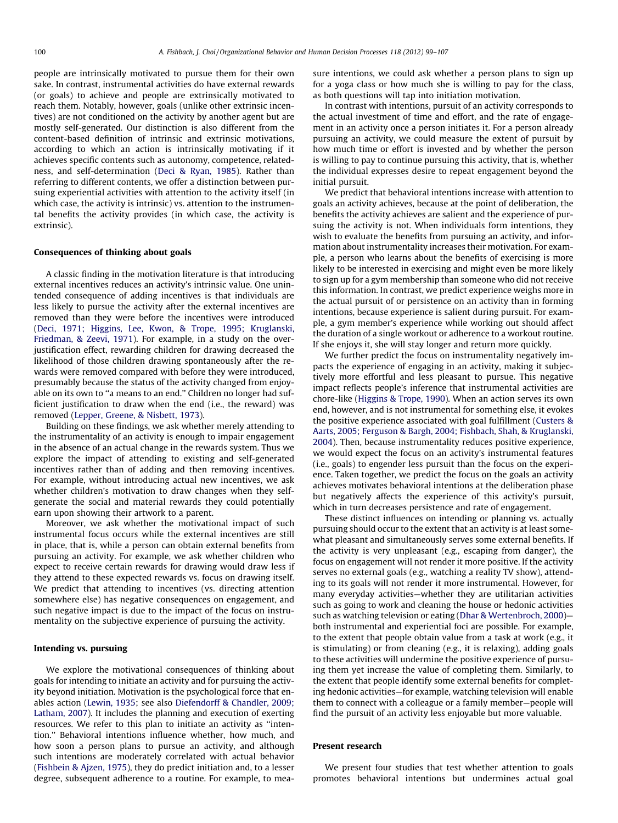people are intrinsically motivated to pursue them for their own sake. In contrast, instrumental activities do have external rewards (or goals) to achieve and people are extrinsically motivated to reach them. Notably, however, goals (unlike other extrinsic incentives) are not conditioned on the activity by another agent but are mostly self-generated. Our distinction is also different from the content-based definition of intrinsic and extrinsic motivations, according to which an action is intrinsically motivating if it achieves specific contents such as autonomy, competence, relatedness, and self-determination [\(Deci & Ryan, 1985\)](#page-8-0). Rather than referring to different contents, we offer a distinction between pursuing experiential activities with attention to the activity itself (in which case, the activity is intrinsic) vs. attention to the instrumental benefits the activity provides (in which case, the activity is extrinsic).

#### Consequences of thinking about goals

A classic finding in the motivation literature is that introducing external incentives reduces an activity's intrinsic value. One unintended consequence of adding incentives is that individuals are less likely to pursue the activity after the external incentives are removed than they were before the incentives were introduced ([Deci, 1971; Higgins, Lee, Kwon, & Trope, 1995; Kruglanski,](#page-8-0) [Friedman, & Zeevi, 1971](#page-8-0)). For example, in a study on the overjustification effect, rewarding children for drawing decreased the likelihood of those children drawing spontaneously after the rewards were removed compared with before they were introduced, presumably because the status of the activity changed from enjoyable on its own to ''a means to an end.'' Children no longer had sufficient justification to draw when the end (i.e., the reward) was removed ([Lepper, Greene, & Nisbett, 1973](#page-8-0)).

Building on these findings, we ask whether merely attending to the instrumentality of an activity is enough to impair engagement in the absence of an actual change in the rewards system. Thus we explore the impact of attending to existing and self-generated incentives rather than of adding and then removing incentives. For example, without introducing actual new incentives, we ask whether children's motivation to draw changes when they selfgenerate the social and material rewards they could potentially earn upon showing their artwork to a parent.

Moreover, we ask whether the motivational impact of such instrumental focus occurs while the external incentives are still in place, that is, while a person can obtain external benefits from pursuing an activity. For example, we ask whether children who expect to receive certain rewards for drawing would draw less if they attend to these expected rewards vs. focus on drawing itself. We predict that attending to incentives (vs. directing attention somewhere else) has negative consequences on engagement, and such negative impact is due to the impact of the focus on instrumentality on the subjective experience of pursuing the activity.

#### Intending vs. pursuing

We explore the motivational consequences of thinking about goals for intending to initiate an activity and for pursuing the activity beyond initiation. Motivation is the psychological force that enables action [\(Lewin, 1935;](#page-8-0) see also [Diefendorff & Chandler, 2009;](#page-8-0) [Latham, 2007](#page-8-0)). It includes the planning and execution of exerting resources. We refer to this plan to initiate an activity as ''intention.'' Behavioral intentions influence whether, how much, and how soon a person plans to pursue an activity, and although such intentions are moderately correlated with actual behavior ([Fishbein & Ajzen, 1975](#page-8-0)), they do predict initiation and, to a lesser degree, subsequent adherence to a routine. For example, to measure intentions, we could ask whether a person plans to sign up for a yoga class or how much she is willing to pay for the class, as both questions will tap into initiation motivation.

In contrast with intentions, pursuit of an activity corresponds to the actual investment of time and effort, and the rate of engagement in an activity once a person initiates it. For a person already pursuing an activity, we could measure the extent of pursuit by how much time or effort is invested and by whether the person is willing to pay to continue pursuing this activity, that is, whether the individual expresses desire to repeat engagement beyond the initial pursuit.

We predict that behavioral intentions increase with attention to goals an activity achieves, because at the point of deliberation, the benefits the activity achieves are salient and the experience of pursuing the activity is not. When individuals form intentions, they wish to evaluate the benefits from pursuing an activity, and information about instrumentality increases their motivation. For example, a person who learns about the benefits of exercising is more likely to be interested in exercising and might even be more likely to sign up for a gym membership than someone who did not receive this information. In contrast, we predict experience weighs more in the actual pursuit of or persistence on an activity than in forming intentions, because experience is salient during pursuit. For example, a gym member's experience while working out should affect the duration of a single workout or adherence to a workout routine. If she enjoys it, she will stay longer and return more quickly.

We further predict the focus on instrumentality negatively impacts the experience of engaging in an activity, making it subjectively more effortful and less pleasant to pursue. This negative impact reflects people's inference that instrumental activities are chore-like [\(Higgins & Trope, 1990](#page-8-0)). When an action serves its own end, however, and is not instrumental for something else, it evokes the positive experience associated with goal fulfillment ([Custers &](#page-8-0) [Aarts, 2005; Ferguson & Bargh, 2004; Fishbach, Shah, & Kruglanski,](#page-8-0) [2004\)](#page-8-0). Then, because instrumentality reduces positive experience, we would expect the focus on an activity's instrumental features (i.e., goals) to engender less pursuit than the focus on the experience. Taken together, we predict the focus on the goals an activity achieves motivates behavioral intentions at the deliberation phase but negatively affects the experience of this activity's pursuit, which in turn decreases persistence and rate of engagement.

These distinct influences on intending or planning vs. actually pursuing should occur to the extent that an activity is at least somewhat pleasant and simultaneously serves some external benefits. If the activity is very unpleasant (e.g., escaping from danger), the focus on engagement will not render it more positive. If the activity serves no external goals (e.g., watching a reality TV show), attending to its goals will not render it more instrumental. However, for many everyday activities—whether they are utilitarian activities such as going to work and cleaning the house or hedonic activities such as watching television or eating [\(Dhar & Wertenbroch, 2000](#page-8-0)) both instrumental and experiential foci are possible. For example, to the extent that people obtain value from a task at work (e.g., it is stimulating) or from cleaning (e.g., it is relaxing), adding goals to these activities will undermine the positive experience of pursuing them yet increase the value of completing them. Similarly, to the extent that people identify some external benefits for completing hedonic activities—for example, watching television will enable them to connect with a colleague or a family member—people will find the pursuit of an activity less enjoyable but more valuable.

#### Present research

We present four studies that test whether attention to goals promotes behavioral intentions but undermines actual goal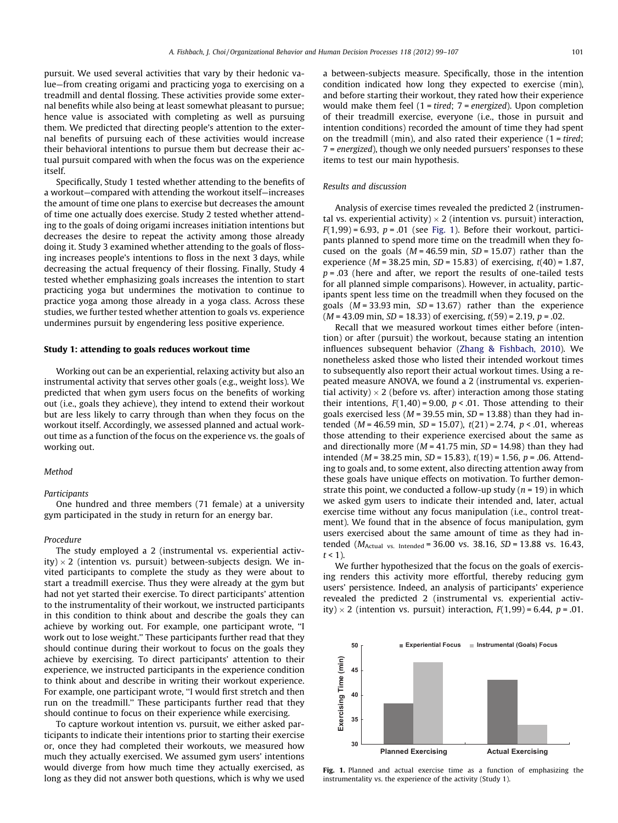pursuit. We used several activities that vary by their hedonic value—from creating origami and practicing yoga to exercising on a treadmill and dental flossing. These activities provide some external benefits while also being at least somewhat pleasant to pursue; hence value is associated with completing as well as pursuing them. We predicted that directing people's attention to the external benefits of pursuing each of these activities would increase their behavioral intentions to pursue them but decrease their actual pursuit compared with when the focus was on the experience itself.

Specifically, Study 1 tested whether attending to the benefits of a workout—compared with attending the workout itself—increases the amount of time one plans to exercise but decreases the amount of time one actually does exercise. Study 2 tested whether attending to the goals of doing origami increases initiation intentions but decreases the desire to repeat the activity among those already doing it. Study 3 examined whether attending to the goals of flossing increases people's intentions to floss in the next 3 days, while decreasing the actual frequency of their flossing. Finally, Study 4 tested whether emphasizing goals increases the intention to start practicing yoga but undermines the motivation to continue to practice yoga among those already in a yoga class. Across these studies, we further tested whether attention to goals vs. experience undermines pursuit by engendering less positive experience.

#### Study 1: attending to goals reduces workout time

Working out can be an experiential, relaxing activity but also an instrumental activity that serves other goals (e.g., weight loss). We predicted that when gym users focus on the benefits of working out (i.e., goals they achieve), they intend to extend their workout but are less likely to carry through than when they focus on the workout itself. Accordingly, we assessed planned and actual workout time as a function of the focus on the experience vs. the goals of working out.

#### Method

#### Participants

One hundred and three members (71 female) at a university gym participated in the study in return for an energy bar.

#### Procedure

The study employed a 2 (instrumental vs. experiential activity) $\times$  2 (intention vs. pursuit) between-subjects design. We invited participants to complete the study as they were about to start a treadmill exercise. Thus they were already at the gym but had not yet started their exercise. To direct participants' attention to the instrumentality of their workout, we instructed participants in this condition to think about and describe the goals they can achieve by working out. For example, one participant wrote, ''I work out to lose weight.'' These participants further read that they should continue during their workout to focus on the goals they achieve by exercising. To direct participants' attention to their experience, we instructed participants in the experience condition to think about and describe in writing their workout experience. For example, one participant wrote, "I would first stretch and then run on the treadmill.'' These participants further read that they should continue to focus on their experience while exercising.

To capture workout intention vs. pursuit, we either asked participants to indicate their intentions prior to starting their exercise or, once they had completed their workouts, we measured how much they actually exercised. We assumed gym users' intentions would diverge from how much time they actually exercised, as long as they did not answer both questions, which is why we used a between-subjects measure. Specifically, those in the intention condition indicated how long they expected to exercise (min), and before starting their workout, they rated how their experience would make them feel  $(1 = tired; 7 = energized)$ . Upon completion of their treadmill exercise, everyone (i.e., those in pursuit and intention conditions) recorded the amount of time they had spent on the treadmill (min), and also rated their experience  $(1 = tired;$ 7 = energized), though we only needed pursuers' responses to these items to test our main hypothesis.

#### Results and discussion

Analysis of exercise times revealed the predicted 2 (instrumental vs. experiential activity)  $\times$  2 (intention vs. pursuit) interaction,  $F(1,99) = 6.93$ ,  $p = .01$  (see Fig. 1). Before their workout, participants planned to spend more time on the treadmill when they focused on the goals ( $M = 46.59$  min,  $SD = 15.07$ ) rather than the experience ( $M = 38.25$  min,  $SD = 15.83$ ) of exercising,  $t(40) = 1.87$ ,  $p = .03$  (here and after, we report the results of one-tailed tests for all planned simple comparisons). However, in actuality, participants spent less time on the treadmill when they focused on the goals ( $M = 33.93$  min,  $SD = 13.67$ ) rather than the experience  $(M = 43.09 \text{ min}, SD = 18.33)$  of exercising,  $t(59) = 2.19$ ,  $p = .02$ .

Recall that we measured workout times either before (intention) or after (pursuit) the workout, because stating an intention influences subsequent behavior [\(Zhang & Fishbach, 2010](#page-8-0)). We nonetheless asked those who listed their intended workout times to subsequently also report their actual workout times. Using a repeated measure ANOVA, we found a 2 (instrumental vs. experiential activity)  $\times$  2 (before vs. after) interaction among those stating their intentions,  $F(1,40) = 9.00$ ,  $p < .01$ . Those attending to their goals exercised less ( $M = 39.55$  min,  $SD = 13.88$ ) than they had intended ( $M = 46.59$  min,  $SD = 15.07$ ),  $t(21) = 2.74$ ,  $p < .01$ , whereas those attending to their experience exercised about the same as and directionally more ( $M = 41.75$  min,  $SD = 14.98$ ) than they had intended ( $M = 38.25$  min,  $SD = 15.83$ ),  $t(19) = 1.56$ ,  $p = .06$ . Attending to goals and, to some extent, also directing attention away from these goals have unique effects on motivation. To further demonstrate this point, we conducted a follow-up study ( $n = 19$ ) in which we asked gym users to indicate their intended and, later, actual exercise time without any focus manipulation (i.e., control treatment). We found that in the absence of focus manipulation, gym users exercised about the same amount of time as they had intended (MActual vs. Intended = 36.00 vs. 38.16, SD = 13.88 vs. 16.43,  $t < 1$ ).

We further hypothesized that the focus on the goals of exercising renders this activity more effortful, thereby reducing gym users' persistence. Indeed, an analysis of participants' experience revealed the predicted 2 (instrumental vs. experiential activity)  $\times$  2 (intention vs. pursuit) interaction,  $F(1,99)$  = 6.44, p = .01.



Fig. 1. Planned and actual exercise time as a function of emphasizing the instrumentality vs. the experience of the activity (Study 1).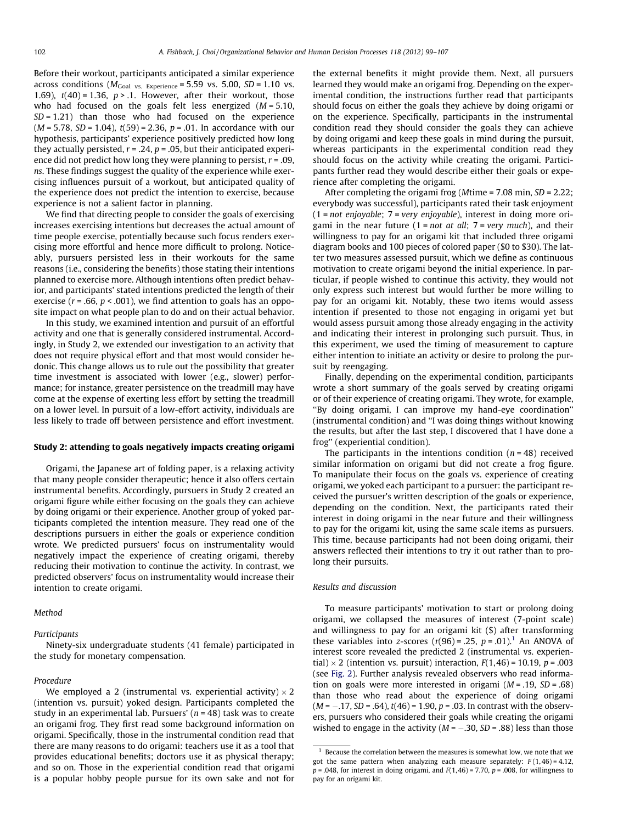Before their workout, participants anticipated a similar experience across conditions ( $M_{\text{Goal vs. Experience}} = 5.59$  vs. 5.00,  $SD = 1.10$  vs. 1.69),  $t(40) = 1.36$ ,  $p > 1$ . However, after their workout, those who had focused on the goals felt less energized  $(M = 5.10,$  $SD = 1.21$ ) than those who had focused on the experience  $(M = 5.78, SD = 1.04), t(59) = 2.36, p = .01.$  In accordance with our hypothesis, participants' experience positively predicted how long they actually persisted,  $r = .24$ ,  $p = .05$ , but their anticipated experience did not predict how long they were planning to persist,  $r = .09$ , ns. These findings suggest the quality of the experience while exercising influences pursuit of a workout, but anticipated quality of the experience does not predict the intention to exercise, because experience is not a salient factor in planning.

We find that directing people to consider the goals of exercising increases exercising intentions but decreases the actual amount of time people exercise, potentially because such focus renders exercising more effortful and hence more difficult to prolong. Noticeably, pursuers persisted less in their workouts for the same reasons (i.e., considering the benefits) those stating their intentions planned to exercise more. Although intentions often predict behavior, and participants' stated intentions predicted the length of their exercise ( $r = .66$ ,  $p < .001$ ), we find attention to goals has an opposite impact on what people plan to do and on their actual behavior.

In this study, we examined intention and pursuit of an effortful activity and one that is generally considered instrumental. Accordingly, in Study 2, we extended our investigation to an activity that does not require physical effort and that most would consider hedonic. This change allows us to rule out the possibility that greater time investment is associated with lower (e.g., slower) performance; for instance, greater persistence on the treadmill may have come at the expense of exerting less effort by setting the treadmill on a lower level. In pursuit of a low-effort activity, individuals are less likely to trade off between persistence and effort investment.

#### Study 2: attending to goals negatively impacts creating origami

Origami, the Japanese art of folding paper, is a relaxing activity that many people consider therapeutic; hence it also offers certain instrumental benefits. Accordingly, pursuers in Study 2 created an origami figure while either focusing on the goals they can achieve by doing origami or their experience. Another group of yoked participants completed the intention measure. They read one of the descriptions pursuers in either the goals or experience condition wrote. We predicted pursuers' focus on instrumentality would negatively impact the experience of creating origami, thereby reducing their motivation to continue the activity. In contrast, we predicted observers' focus on instrumentality would increase their intention to create origami.

#### Method

#### Participants

Ninety-six undergraduate students (41 female) participated in the study for monetary compensation.

#### Procedure

We employed a 2 (instrumental vs. experiential activity) $\times$  2 (intention vs. pursuit) yoked design. Participants completed the study in an experimental lab. Pursuers' ( $n = 48$ ) task was to create an origami frog. They first read some background information on origami. Specifically, those in the instrumental condition read that there are many reasons to do origami: teachers use it as a tool that provides educational benefits; doctors use it as physical therapy; and so on. Those in the experiential condition read that origami is a popular hobby people pursue for its own sake and not for the external benefits it might provide them. Next, all pursuers learned they would make an origami frog. Depending on the experimental condition, the instructions further read that participants should focus on either the goals they achieve by doing origami or on the experience. Specifically, participants in the instrumental condition read they should consider the goals they can achieve by doing origami and keep these goals in mind during the pursuit, whereas participants in the experimental condition read they should focus on the activity while creating the origami. Participants further read they would describe either their goals or experience after completing the origami.

After completing the origami frog (Mtime = 7.08 min, SD = 2.22; everybody was successful), participants rated their task enjoyment  $(1 = not$  enjoyable;  $7 = very$  enjoyable), interest in doing more origami in the near future  $(1 = not at all; 7 = very much)$ , and their willingness to pay for an origami kit that included three origami diagram books and 100 pieces of colored paper (\$0 to \$30). The latter two measures assessed pursuit, which we define as continuous motivation to create origami beyond the initial experience. In particular, if people wished to continue this activity, they would not only express such interest but would further be more willing to pay for an origami kit. Notably, these two items would assess intention if presented to those not engaging in origami yet but would assess pursuit among those already engaging in the activity and indicating their interest in prolonging such pursuit. Thus, in this experiment, we used the timing of measurement to capture either intention to initiate an activity or desire to prolong the pursuit by reengaging.

Finally, depending on the experimental condition, participants wrote a short summary of the goals served by creating origami or of their experience of creating origami. They wrote, for example, ''By doing origami, I can improve my hand-eye coordination'' (instrumental condition) and ''I was doing things without knowing the results, but after the last step, I discovered that I have done a frog'' (experiential condition).

The participants in the intentions condition ( $n = 48$ ) received similar information on origami but did not create a frog figure. To manipulate their focus on the goals vs. experience of creating origami, we yoked each participant to a pursuer: the participant received the pursuer's written description of the goals or experience, depending on the condition. Next, the participants rated their interest in doing origami in the near future and their willingness to pay for the origami kit, using the same scale items as pursuers. This time, because participants had not been doing origami, their answers reflected their intentions to try it out rather than to prolong their pursuits.

#### Results and discussion

To measure participants' motivation to start or prolong doing origami, we collapsed the measures of interest (7-point scale) and willingness to pay for an origami kit (\$) after transforming these variables into z-scores ( $r(96)$  = .25,  $p$  = .01).<sup>1</sup> An ANOVA of interest score revealed the predicted 2 (instrumental vs. experiential)  $\times$  2 (intention vs. pursuit) interaction,  $F(1,46)$  = 10.19, p = .003 (see [Fig. 2\)](#page-4-0). Further analysis revealed observers who read information on goals were more interested in origami  $(M = .19, SD = .68)$ than those who read about the experience of doing origami  $(M = -.17, SD = .64)$ ,  $t(46) = 1.90$ ,  $p = .03$ . In contrast with the observers, pursuers who considered their goals while creating the origami wished to engage in the activity ( $M = -.30$ ,  $SD = .88$ ) less than those

 $1$  Because the correlation between the measures is somewhat low, we note that we got the same pattern when analyzing each measure separately:  $F(1, 46) = 4.12$ ,  $p = .048$ , for interest in doing origami, and  $F(1, 46) = 7.70$ ,  $p = .008$ , for willingness to pay for an origami kit.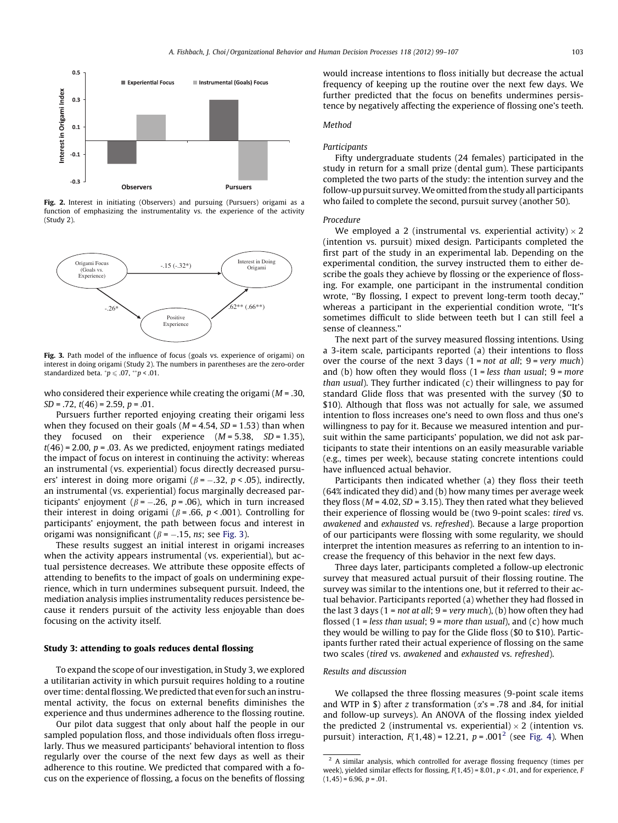<span id="page-4-0"></span>

Fig. 2. Interest in initiating (Observers) and pursuing (Pursuers) origami as a function of emphasizing the instrumentality vs. the experience of the activity (Study 2).



Fig. 3. Path model of the influence of focus (goals vs. experience of origami) on interest in doing origami (Study 2). The numbers in parentheses are the zero-order standardized beta.  $\degree p \leqslant .07$ ,  $\degree\degree p < .01$ .

who considered their experience while creating the origami ( $M = 0.30$ ,  $SD = .72$ ,  $t(46) = 2.59$ ,  $p = .01$ .

Pursuers further reported enjoying creating their origami less when they focused on their goals ( $M = 4.54$ ,  $SD = 1.53$ ) than when they focused on their experience  $(M = 5.38, SD = 1.35)$ ,  $t(46)$  = 2.00,  $p$  = .03. As we predicted, enjoyment ratings mediated the impact of focus on interest in continuing the activity: whereas an instrumental (vs. experiential) focus directly decreased pursuers' interest in doing more origami ( $\beta$  = -.32, p < .05), indirectly, an instrumental (vs. experiential) focus marginally decreased participants' enjoyment ( $\beta$  = -.26, p = .06), which in turn increased their interest in doing origami ( $\beta$  = .66,  $p < .001$ ). Controlling for participants' enjoyment, the path between focus and interest in origami was nonsignificant ( $\beta$  = -.15, ns; see Fig. 3).

These results suggest an initial interest in origami increases when the activity appears instrumental (vs. experiential), but actual persistence decreases. We attribute these opposite effects of attending to benefits to the impact of goals on undermining experience, which in turn undermines subsequent pursuit. Indeed, the mediation analysis implies instrumentality reduces persistence because it renders pursuit of the activity less enjoyable than does focusing on the activity itself.

#### Study 3: attending to goals reduces dental flossing

To expand the scope of our investigation, in Study 3, we explored a utilitarian activity in which pursuit requires holding to a routine over time: dental flossing.We predicted that even for such an instrumental activity, the focus on external benefits diminishes the experience and thus undermines adherence to the flossing routine.

Our pilot data suggest that only about half the people in our sampled population floss, and those individuals often floss irregularly. Thus we measured participants' behavioral intention to floss regularly over the course of the next few days as well as their adherence to this routine. We predicted that compared with a focus on the experience of flossing, a focus on the benefits of flossing would increase intentions to floss initially but decrease the actual frequency of keeping up the routine over the next few days. We further predicted that the focus on benefits undermines persistence by negatively affecting the experience of flossing one's teeth.

#### Method

#### Participants

Fifty undergraduate students (24 females) participated in the study in return for a small prize (dental gum). These participants completed the two parts of the study: the intention survey and the follow-up pursuit survey.We omitted from the study all participants who failed to complete the second, pursuit survey (another 50).

#### Procedure

We employed a 2 (instrumental vs. experiential activity) $\times$  2 (intention vs. pursuit) mixed design. Participants completed the first part of the study in an experimental lab. Depending on the experimental condition, the survey instructed them to either describe the goals they achieve by flossing or the experience of flossing. For example, one participant in the instrumental condition wrote, ''By flossing, I expect to prevent long-term tooth decay,'' whereas a participant in the experiential condition wrote, ''It's sometimes difficult to slide between teeth but I can still feel a sense of cleanness.''

The next part of the survey measured flossing intentions. Using a 3-item scale, participants reported (a) their intentions to floss over the course of the next 3 days  $(1 = not at all; 9 = very much)$ and (b) how often they would floss  $(1 = less than usual; 9 = more$ than usual). They further indicated (c) their willingness to pay for standard Glide floss that was presented with the survey (\$0 to \$10). Although that floss was not actually for sale, we assumed intention to floss increases one's need to own floss and thus one's willingness to pay for it. Because we measured intention and pursuit within the same participants' population, we did not ask participants to state their intentions on an easily measurable variable (e.g., times per week), because stating concrete intentions could have influenced actual behavior.

Participants then indicated whether (a) they floss their teeth (64% indicated they did) and (b) how many times per average week they floss ( $M = 4.02$ ,  $SD = 3.15$ ). They then rated what they believed their experience of flossing would be (two 9-point scales: tired vs. awakened and exhausted vs. refreshed). Because a large proportion of our participants were flossing with some regularity, we should interpret the intention measures as referring to an intention to increase the frequency of this behavior in the next few days.

Three days later, participants completed a follow-up electronic survey that measured actual pursuit of their flossing routine. The survey was similar to the intentions one, but it referred to their actual behavior. Participants reported (a) whether they had flossed in the last 3 days ( $1 = not at$  all;  $9 = very$  much), (b) how often they had flossed (1 = less than usual; 9 = more than usual), and (c) how much they would be willing to pay for the Glide floss (\$0 to \$10). Participants further rated their actual experience of flossing on the same two scales (tired vs. awakened and exhausted vs. refreshed).

#### Results and discussion

We collapsed the three flossing measures (9-point scale items and WTP in \$) after z transformation ( $\alpha$ 's = .78 and .84, for initial and follow-up surveys). An ANOVA of the flossing index yielded the predicted 2 (instrumental vs. experiential)  $\times$  2 (intention vs. pursuit) interaction,  $F(1,48) = 12.21$ ,  $p = .001<sup>2</sup>$  (see [Fig. 4\)](#page-5-0). When

<sup>&</sup>lt;sup>2</sup> A similar analysis, which controlled for average flossing frequency (times per week), yielded similar effects for flossing,  $F(1, 45)$  = 8.01,  $p < .01$ , and for experience,  $F$  $(1, 45) = 6.96, p = .01.$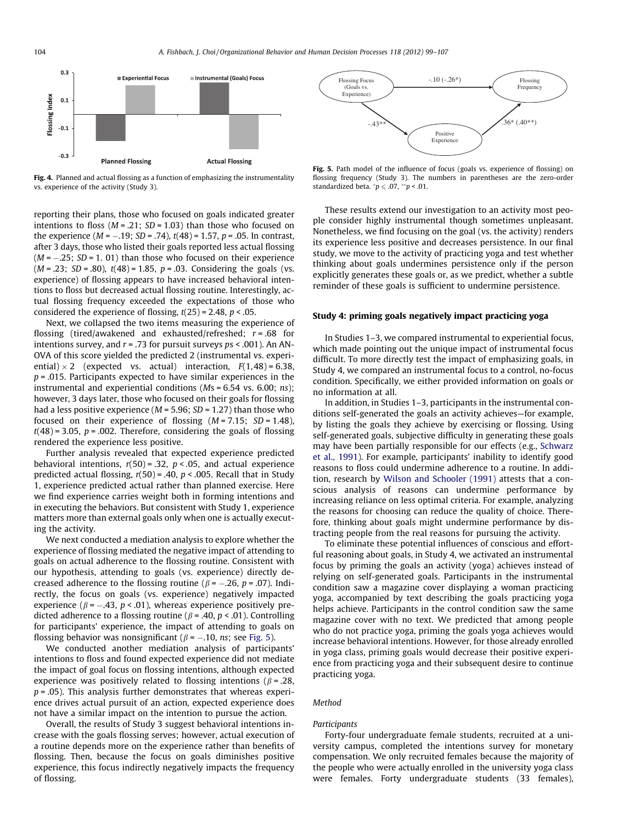<span id="page-5-0"></span>

Fig. 4. Planned and actual flossing as a function of emphasizing the instrumentality vs. experience of the activity (Study 3).

reporting their plans, those who focused on goals indicated greater intentions to floss  $(M = .21; SD = 1.03)$  than those who focused on the experience  $(M = -.19; SD = .74)$ ,  $t(48) = 1.57$ ,  $p = .05$ . In contrast, after 3 days, those who listed their goals reported less actual flossing  $(M = -.25; SD = 1, 01)$  than those who focused on their experience  $(M = .23; SD = .80)$ ,  $t(48) = 1.85$ ,  $p = .03$ . Considering the goals (vs. experience) of flossing appears to have increased behavioral intentions to floss but decreased actual flossing routine. Interestingly, actual flossing frequency exceeded the expectations of those who considered the experience of flossing,  $t(25) = 2.48$ ,  $p < .05$ .

Next, we collapsed the two items measuring the experience of flossing (tired/awakened and exhausted/refreshed;  $r = .68$  for intentions survey, and  $r = .73$  for pursuit surveys  $ps < .001$ ). An AN-OVA of this score yielded the predicted 2 (instrumental vs. experiential)  $\times$  2 (expected vs. actual) interaction, F(1,48)=6.38,  $p = 0.015$ . Participants expected to have similar experiences in the instrumental and experiential conditions ( $Ms = 6.54$  vs. 6.00; ns); however, 3 days later, those who focused on their goals for flossing had a less positive experience ( $M = 5.96$ ; SD = 1.27) than those who focused on their experience of flossing  $(M = 7.15; SD = 1.48)$ ,  $t(48) = 3.05$ ,  $p = .002$ . Therefore, considering the goals of flossing rendered the experience less positive.

Further analysis revealed that expected experience predicted behavioral intentions,  $r(50) = .32$ ,  $p < .05$ , and actual experience predicted actual flossing,  $r(50) = .40$ ,  $p < .005$ . Recall that in Study 1, experience predicted actual rather than planned exercise. Here we find experience carries weight both in forming intentions and in executing the behaviors. But consistent with Study 1, experience matters more than external goals only when one is actually executing the activity.

We next conducted a mediation analysis to explore whether the experience of flossing mediated the negative impact of attending to goals on actual adherence to the flossing routine. Consistent with our hypothesis, attending to goals (vs. experience) directly decreased adherence to the flossing routine ( $\beta$  = -.26, p = .07). Indirectly, the focus on goals (vs. experience) negatively impacted experience ( $\beta$  = -.43,  $p < .01$ ), whereas experience positively predicted adherence to a flossing routine ( $\beta$  = .40,  $p$  < .01). Controlling for participants' experience, the impact of attending to goals on flossing behavior was nonsignificant ( $\beta$  = -.10, ns; see Fig. 5).

We conducted another mediation analysis of participants' intentions to floss and found expected experience did not mediate the impact of goal focus on flossing intentions, although expected experience was positively related to flossing intentions ( $\beta$  = .28,  $p = .05$ ). This analysis further demonstrates that whereas experience drives actual pursuit of an action, expected experience does not have a similar impact on the intention to pursue the action.

Overall, the results of Study 3 suggest behavioral intentions increase with the goals flossing serves; however, actual execution of a routine depends more on the experience rather than benefits of flossing. Then, because the focus on goals diminishes positive experience, this focus indirectly negatively impacts the frequency of flossing.



Fig. 5. Path model of the influence of focus (goals vs. experience of flossing) on flossing frequency (Study 3). The numbers in parentheses are the zero-order standardized beta.  $np \leq 0.07$ ,  $\rightarrow$   $p < 0.01$ .

These results extend our investigation to an activity most people consider highly instrumental though sometimes unpleasant. Nonetheless, we find focusing on the goal (vs. the activity) renders its experience less positive and decreases persistence. In our final study, we move to the activity of practicing yoga and test whether thinking about goals undermines persistence only if the person explicitly generates these goals or, as we predict, whether a subtle reminder of these goals is sufficient to undermine persistence.

#### Study 4: priming goals negatively impact practicing yoga

In Studies 1–3, we compared instrumental to experiential focus, which made pointing out the unique impact of instrumental focus difficult. To more directly test the impact of emphasizing goals, in Study 4, we compared an instrumental focus to a control, no-focus condition. Specifically, we either provided information on goals or no information at all.

In addition, in Studies 1–3, participants in the instrumental conditions self-generated the goals an activity achieves—for example, by listing the goals they achieve by exercising or flossing. Using self-generated goals, subjective difficulty in generating these goals may have been partially responsible for our effects (e.g., [Schwarz](#page-8-0) [et al., 1991](#page-8-0)). For example, participants' inability to identify good reasons to floss could undermine adherence to a routine. In addition, research by [Wilson and Schooler \(1991\)](#page-8-0) attests that a conscious analysis of reasons can undermine performance by increasing reliance on less optimal criteria. For example, analyzing the reasons for choosing can reduce the quality of choice. Therefore, thinking about goals might undermine performance by distracting people from the real reasons for pursuing the activity.

To eliminate these potential influences of conscious and effortful reasoning about goals, in Study 4, we activated an instrumental focus by priming the goals an activity (yoga) achieves instead of relying on self-generated goals. Participants in the instrumental condition saw a magazine cover displaying a woman practicing yoga, accompanied by text describing the goals practicing yoga helps achieve. Participants in the control condition saw the same magazine cover with no text. We predicted that among people who do not practice yoga, priming the goals yoga achieves would increase behavioral intentions. However, for those already enrolled in yoga class, priming goals would decrease their positive experience from practicing yoga and their subsequent desire to continue practicing yoga.

#### Method

#### **Participants**

Forty-four undergraduate female students, recruited at a university campus, completed the intentions survey for monetary compensation. We only recruited females because the majority of the people who were actually enrolled in the university yoga class were females. Forty undergraduate students (33 females),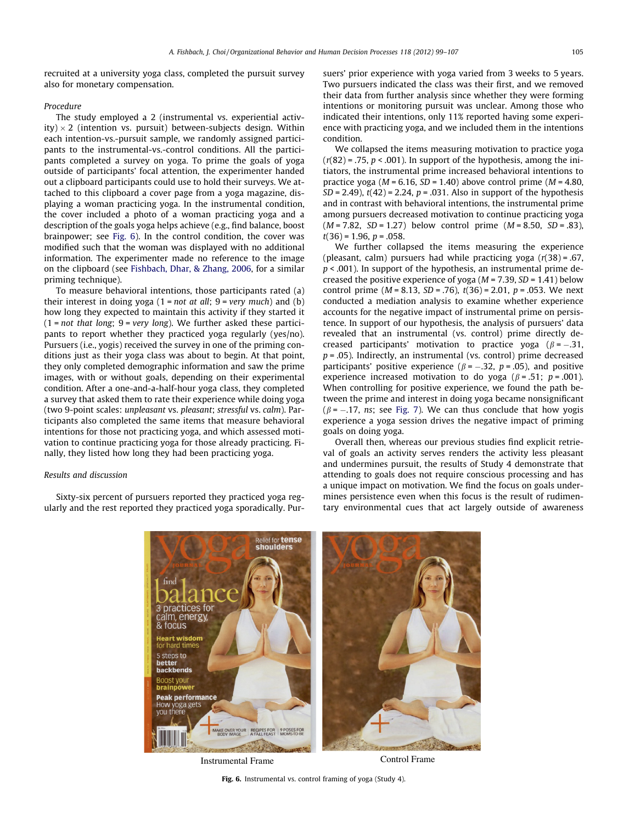recruited at a university yoga class, completed the pursuit survey also for monetary compensation.

#### Procedure

The study employed a 2 (instrumental vs. experiential activity) $\times$  2 (intention vs. pursuit) between-subjects design. Within each intention-vs.-pursuit sample, we randomly assigned participants to the instrumental-vs.-control conditions. All the participants completed a survey on yoga. To prime the goals of yoga outside of participants' focal attention, the experimenter handed out a clipboard participants could use to hold their surveys. We attached to this clipboard a cover page from a yoga magazine, displaying a woman practicing yoga. In the instrumental condition, the cover included a photo of a woman practicing yoga and a description of the goals yoga helps achieve (e.g., find balance, boost brainpower; see Fig. 6). In the control condition, the cover was modified such that the woman was displayed with no additional information. The experimenter made no reference to the image on the clipboard (see [Fishbach, Dhar, & Zhang, 2006](#page-8-0), for a similar priming technique).

To measure behavioral intentions, those participants rated (a) their interest in doing yoga  $(1 = not at all; 9 = very much)$  and  $(b)$ how long they expected to maintain this activity if they started it  $(1 = not that long; 9 = very long)$ . We further asked these participants to report whether they practiced yoga regularly (yes/no). Pursuers (i.e., yogis) received the survey in one of the priming conditions just as their yoga class was about to begin. At that point, they only completed demographic information and saw the prime images, with or without goals, depending on their experimental condition. After a one-and-a-half-hour yoga class, they completed a survey that asked them to rate their experience while doing yoga (two 9-point scales: unpleasant vs. pleasant; stressful vs. calm). Participants also completed the same items that measure behavioral intentions for those not practicing yoga, and which assessed motivation to continue practicing yoga for those already practicing. Finally, they listed how long they had been practicing yoga.

#### Results and discussion

Sixty-six percent of pursuers reported they practiced yoga regularly and the rest reported they practiced yoga sporadically. Pursuers' prior experience with yoga varied from 3 weeks to 5 years. Two pursuers indicated the class was their first, and we removed their data from further analysis since whether they were forming intentions or monitoring pursuit was unclear. Among those who indicated their intentions, only 11% reported having some experience with practicing yoga, and we included them in the intentions condition.

We collapsed the items measuring motivation to practice yoga  $(r(82) = .75, p < .001)$ . In support of the hypothesis, among the initiators, the instrumental prime increased behavioral intentions to practice yoga ( $M = 6.16$ ,  $SD = 1.40$ ) above control prime ( $M = 4.80$ ,  $SD = 2.49$ ),  $t(42) = 2.24$ ,  $p = .031$ . Also in support of the hypothesis and in contrast with behavioral intentions, the instrumental prime among pursuers decreased motivation to continue practicing yoga  $(M = 7.82, SD = 1.27)$  below control prime  $(M = 8.50, SD = .83)$ ,  $t(36) = 1.96$ ,  $p = .058$ .

We further collapsed the items measuring the experience (pleasant, calm) pursuers had while practicing yoga  $(r(38) = .67)$ ,  $p < .001$ ). In support of the hypothesis, an instrumental prime decreased the positive experience of yoga ( $M = 7.39$ ,  $SD = 1.41$ ) below control prime ( $M = 8.13$ ,  $SD = .76$ ),  $t(36) = 2.01$ ,  $p = .053$ . We next conducted a mediation analysis to examine whether experience accounts for the negative impact of instrumental prime on persistence. In support of our hypothesis, the analysis of pursuers' data revealed that an instrumental (vs. control) prime directly decreased participants' motivation to practice yoga ( $\beta = -.31$ ,  $p = .05$ ). Indirectly, an instrumental (vs. control) prime decreased participants' positive experience ( $\beta$  = -.32, p = .05), and positive experience increased motivation to do yoga ( $\beta$  = .51; p = .001). When controlling for positive experience, we found the path between the prime and interest in doing yoga became nonsignificant ( $\beta$  = -.17, ns; see [Fig. 7](#page-7-0)). We can thus conclude that how yogis experience a yoga session drives the negative impact of priming goals on doing yoga.

Overall then, whereas our previous studies find explicit retrieval of goals an activity serves renders the activity less pleasant and undermines pursuit, the results of Study 4 demonstrate that attending to goals does not require conscious processing and has a unique impact on motivation. We find the focus on goals undermines persistence even when this focus is the result of rudimentary environmental cues that act largely outside of awareness



Instrumental Frame Control Frame

Fig. 6. Instrumental vs. control framing of yoga (Study 4).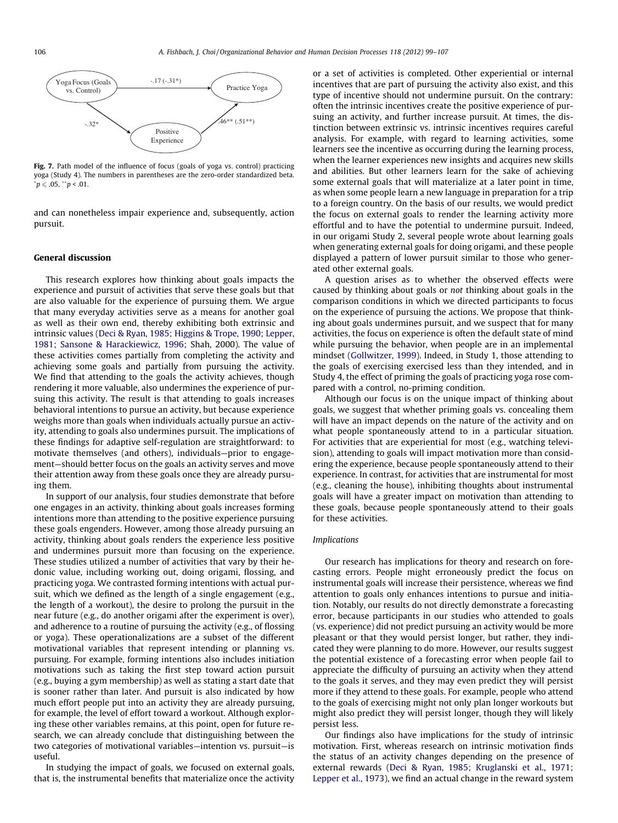<span id="page-7-0"></span>

Fig. 7. Path model of the influence of focus (goals of yoga vs. control) practicing yoga (Study 4). The numbers in parentheses are the zero-order standardized beta.  $p \leq 0.05$ ,  $\frac{p}{p}$  < 0.01.

and can nonetheless impair experience and, subsequently, action pursuit.

#### General discussion

This research explores how thinking about goals impacts the experience and pursuit of activities that serve these goals but that are also valuable for the experience of pursuing them. We argue that many everyday activities serve as a means for another goal as well as their own end, thereby exhibiting both extrinsic and intrinsic values [\(Deci & Ryan, 1985; Higgins & Trope, 1990; Lepper,](#page-8-0) [1981; Sansone & Harackiewicz, 1996](#page-8-0); Shah, 2000). The value of these activities comes partially from completing the activity and achieving some goals and partially from pursuing the activity. We find that attending to the goals the activity achieves, though rendering it more valuable, also undermines the experience of pursuing this activity. The result is that attending to goals increases behavioral intentions to pursue an activity, but because experience weighs more than goals when individuals actually pursue an activity, attending to goals also undermines pursuit. The implications of these findings for adaptive self-regulation are straightforward: to motivate themselves (and others), individuals—prior to engagement—should better focus on the goals an activity serves and move their attention away from these goals once they are already pursuing them.

In support of our analysis, four studies demonstrate that before one engages in an activity, thinking about goals increases forming intentions more than attending to the positive experience pursuing these goals engenders. However, among those already pursuing an activity, thinking about goals renders the experience less positive and undermines pursuit more than focusing on the experience. These studies utilized a number of activities that vary by their hedonic value, including working out, doing origami, flossing, and practicing yoga. We contrasted forming intentions with actual pursuit, which we defined as the length of a single engagement (e.g., the length of a workout), the desire to prolong the pursuit in the near future (e.g., do another origami after the experiment is over), and adherence to a routine of pursuing the activity (e.g., of flossing or yoga). These operationalizations are a subset of the different motivational variables that represent intending or planning vs. pursuing. For example, forming intentions also includes initiation motivations such as taking the first step toward action pursuit (e.g., buying a gym membership) as well as stating a start date that is sooner rather than later. And pursuit is also indicated by how much effort people put into an activity they are already pursuing, for example, the level of effort toward a workout. Although exploring these other variables remains, at this point, open for future research, we can already conclude that distinguishing between the two categories of motivational variables—intention vs. pursuit—is useful.

In studying the impact of goals, we focused on external goals, that is, the instrumental benefits that materialize once the activity

or a set of activities is completed. Other experiential or internal incentives that are part of pursuing the activity also exist, and this type of incentive should not undermine pursuit. On the contrary: often the intrinsic incentives create the positive experience of pursuing an activity, and further increase pursuit. At times, the distinction between extrinsic vs. intrinsic incentives requires careful analysis. For example, with regard to learning activities, some learners see the incentive as occurring during the learning process, when the learner experiences new insights and acquires new skills and abilities. But other learners learn for the sake of achieving some external goals that will materialize at a later point in time, as when some people learn a new language in preparation for a trip to a foreign country. On the basis of our results, we would predict the focus on external goals to render the learning activity more effortful and to have the potential to undermine pursuit. Indeed, in our origami Study 2, several people wrote about learning goals when generating external goals for doing origami, and these people displayed a pattern of lower pursuit similar to those who generated other external goals.

A question arises as to whether the observed effects were caused by thinking about goals or not thinking about goals in the comparison conditions in which we directed participants to focus on the experience of pursuing the actions. We propose that thinking about goals undermines pursuit, and we suspect that for many activities, the focus on experience is often the default state of mind while pursuing the behavior, when people are in an implemental mindset [\(Gollwitzer, 1999](#page-8-0)). Indeed, in Study 1, those attending to the goals of exercising exercised less than they intended, and in Study 4, the effect of priming the goals of practicing yoga rose compared with a control, no-priming condition.

Although our focus is on the unique impact of thinking about goals, we suggest that whether priming goals vs. concealing them will have an impact depends on the nature of the activity and on what people spontaneously attend to in a particular situation. For activities that are experiential for most (e.g., watching television), attending to goals will impact motivation more than considering the experience, because people spontaneously attend to their experience. In contrast, for activities that are instrumental for most (e.g., cleaning the house), inhibiting thoughts about instrumental goals will have a greater impact on motivation than attending to these goals, because people spontaneously attend to their goals for these activities.

#### Implications

Our research has implications for theory and research on forecasting errors. People might erroneously predict the focus on instrumental goals will increase their persistence, whereas we find attention to goals only enhances intentions to pursue and initiation. Notably, our results do not directly demonstrate a forecasting error, because participants in our studies who attended to goals (vs. experience) did not predict pursuing an activity would be more pleasant or that they would persist longer, but rather, they indicated they were planning to do more. However, our results suggest the potential existence of a forecasting error when people fail to appreciate the difficulty of pursuing an activity when they attend to the goals it serves, and they may even predict they will persist more if they attend to these goals. For example, people who attend to the goals of exercising might not only plan longer workouts but might also predict they will persist longer, though they will likely persist less.

Our findings also have implications for the study of intrinsic motivation. First, whereas research on intrinsic motivation finds the status of an activity changes depending on the presence of external rewards ([Deci & Ryan, 1985; Kruglanski et al., 1971;](#page-8-0) [Lepper et al., 1973\)](#page-8-0), we find an actual change in the reward system